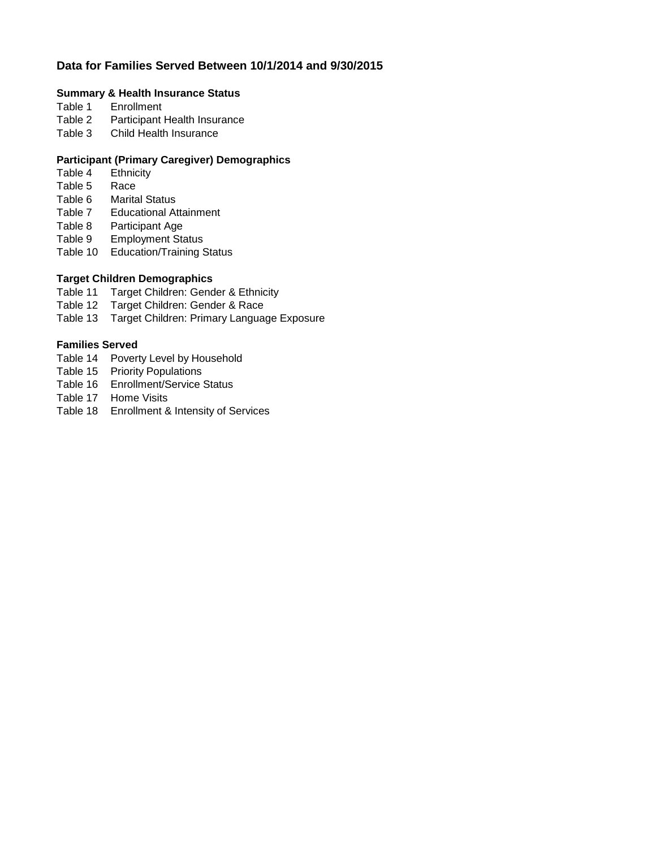# **Data for Families Served Between 10/1/2014 and 9/30/2015**

# **Summary & Health Insurance Status**

- **Enrollment**
- Table 2 Participant Health Insurance
- Table 3 Child Health Insurance

## **Participant (Primary Caregiver) Demographics**

- Table 4 Ethnicity<br>Table 5 Race
- Table 5
- Table 6 Marital Status<br>Table 7 Educational At
- **Educational Attainment**
- Table 8 Participant Age
- Table 9 Employment Status
- Table 10 Education/Training Status

# **Target Children Demographics**

- Table 11 Target Children: Gender & Ethnicity
- Table 12 Target Children: Gender & Race
- Table 13 Target Children: Primary Language Exposure

## **Families Served**

- Table 14 Poverty Level by Household
- Table 15 Priority Populations
- Table 16 Enrollment/Service Status
- Table 17 Home Visits
- Table 18 Enrollment & Intensity of Services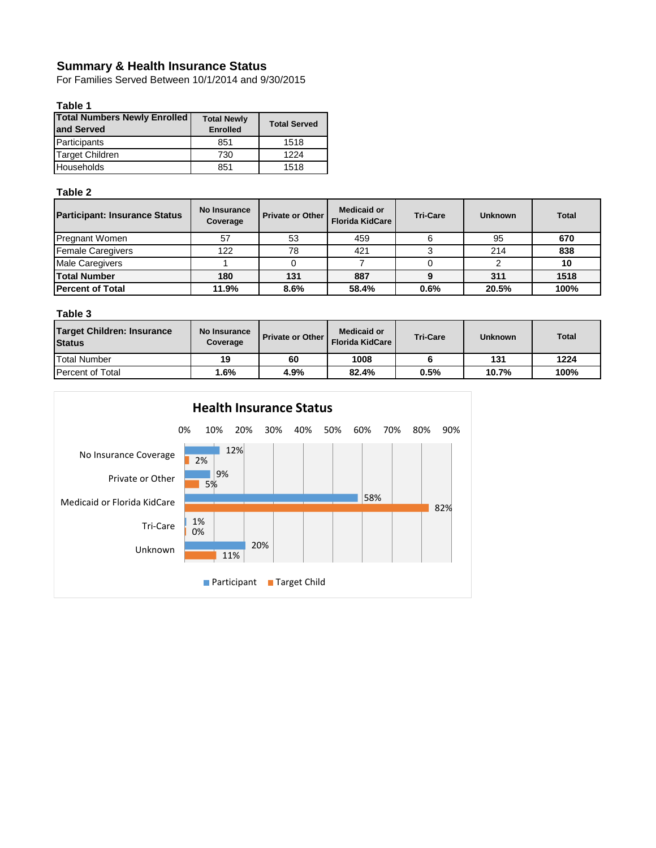# **Summary & Health Insurance Status**

For Families Served Between 10/1/2014 and 9/30/2015

### **Table 1**

| <b>Total Numbers Newly Enrolled</b><br>land Served | <b>Total Newly</b><br><b>Enrolled</b> | <b>Total Served</b> |  |  |
|----------------------------------------------------|---------------------------------------|---------------------|--|--|
| Participants                                       | 851                                   | 1518                |  |  |
| <b>Target Children</b>                             | 730                                   | 1224                |  |  |
| Households                                         | 851                                   | 1518                |  |  |

### **Table 2**

| <b>Participant: Insurance Status</b> | No Insurance<br>Coverage | <b>Private or Other</b> | <b>Medicaid or</b><br><b>Florida KidCare</b> | <b>Tri-Care</b> | <b>Unknown</b> | <b>Total</b> |
|--------------------------------------|--------------------------|-------------------------|----------------------------------------------|-----------------|----------------|--------------|
| <b>Pregnant Women</b>                | 57                       | 53                      | 459                                          |                 | 95             | 670          |
| <b>Female Caregivers</b>             | 122                      | 78                      | 421                                          |                 | 214            | 838          |
| <b>Male Caregivers</b>               |                          |                         |                                              |                 |                | 10           |
| <b>Total Number</b>                  | 180                      | 131                     | 887                                          |                 | 311            | 1518         |
| <b>Percent of Total</b>              | 11.9%                    | 8.6%                    | 58.4%                                        | 0.6%            | 20.5%          | 100%         |

### **Table 3**

| <b>Target Children: Insurance</b><br><b>Status</b> | No Insurance<br>Coverage | <b>Private or Other I</b> | <b>Medicaid or</b><br>Florida KidCare | <b>Tri-Care</b> | <b>Unknown</b> | <b>Total</b> |
|----------------------------------------------------|--------------------------|---------------------------|---------------------------------------|-----------------|----------------|--------------|
| <b>Total Number</b>                                | 19                       | 60                        | 1008                                  |                 | 131            | 1224         |
| <b>Percent of Total</b>                            | .6%                      | 4.9%                      | 82.4%                                 | 0.5%            | 10.7%          | 100%         |

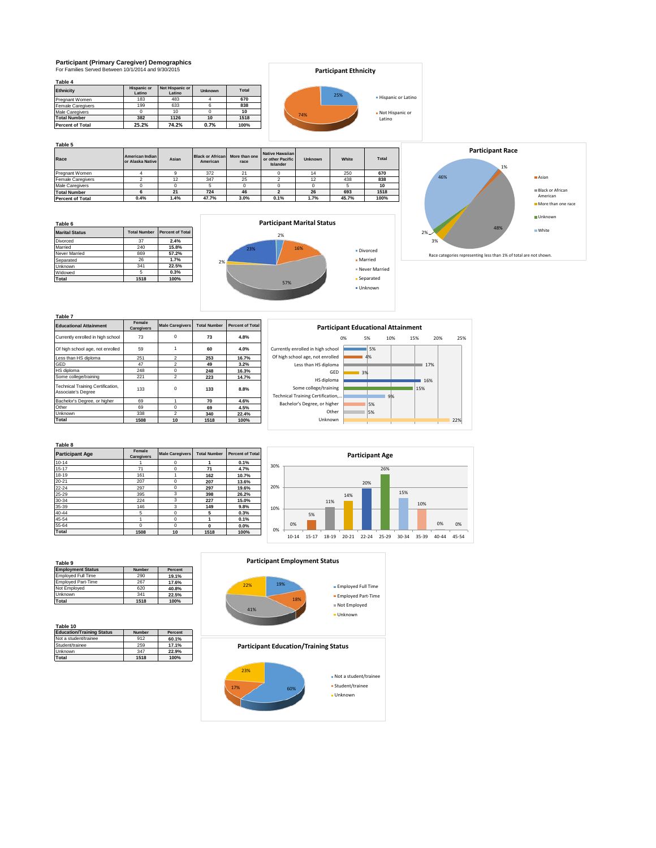# **Participant (Primary Caregiver) Demographics** For Families Served Between 10/1/2014 and 9/30/2015

| Table 4                  |                              |                           |                |              |
|--------------------------|------------------------------|---------------------------|----------------|--------------|
| <b>Ethnicity</b>         | <b>Hispanic or</b><br>Latino | Not Hispanic or<br>Latino | <b>Unknown</b> | <b>Total</b> |
| Pregnant Women           | 183                          | 483                       |                | 670          |
| <b>Female Caregivers</b> | 199                          | 633                       | 6              | 838          |
| <b>Male Caregivers</b>   |                              | 10                        |                | 10           |
| <b>Total Number</b>      | 382                          | 1126                      | 10             | 1518         |
| <b>Percent of Total</b>  | 25.2%                        | 74.2%                     | 0.7%           | 100%         |

|     | <b>Participant Ethnicity</b> |                             |
|-----|------------------------------|-----------------------------|
|     | 25%                          | • Hispanic or Latino        |
| 74% |                              | • Not Hispanic or<br>Latino |

**Table 5**

| Race                     | American Indian<br>or Alaska Native | Asian | <b>Black or African</b><br>American | More than one<br>race | Native Hawaiian<br>or other Pacific<br>Islander | <b>Unknown</b> | White | <b>Total</b> |
|--------------------------|-------------------------------------|-------|-------------------------------------|-----------------------|-------------------------------------------------|----------------|-------|--------------|
| Pregnant Women           |                                     |       | 372                                 | 21                    |                                                 | 14             | 250   | 670          |
| <b>Female Caregivers</b> |                                     | 12    | 347                                 | 25                    |                                                 | 12             | 438   | 838          |
| <b>Male Caregivers</b>   |                                     |       |                                     |                       |                                                 |                |       | 10           |
| <b>Total Number</b>      |                                     | 21    | 724                                 | 46                    |                                                 | 26             | 693   | 1518         |
| <b>Percent of Total</b>  | 0.4%                                | 4%،   | 47.7%                               | 3.0%                  | 0.1%                                            | 1.7%           | 45.7% | 100%         |

**Table 6 Marital Status Total Number Percent of Total**<br>Divorced 37 2.4% Proceed 37 **2.4%**<br>
240 **15.8%**<br>
240 **15.8%**<br>
240 **15.8%**<br>
240 **15.2%** Married 240 **15.8%** Never Married 869 **57.2%** Separated 26 **1.7%** 1341 **22.5%**<br>5 **0.3%** Widowed 5 **0.3% Total 1518 100%**





| Table 7                                                 |                             |                        |                     |                         |
|---------------------------------------------------------|-----------------------------|------------------------|---------------------|-------------------------|
| <b>Educational Attainment</b>                           | Female<br><b>Caregivers</b> | <b>Male Caregivers</b> | <b>Total Number</b> | <b>Percent of Total</b> |
| Currently enrolled in high school                       | 73                          | $\Omega$               | 73                  | 4.8%                    |
| Of high school age, not enrolled                        | 59                          |                        | 60                  | 4.0%                    |
| Less than HS diploma                                    | 251                         | $\mathfrak{p}$         | 253                 | 16.7%                   |
| GED                                                     | 47                          | $\mathfrak{p}$         | 49                  | 3.2%                    |
| HS diploma                                              | 248                         | $\Omega$               | 248                 | 16.3%                   |
| Some college/training                                   | 221                         | $\mathfrak{p}$         | 223                 | 14.7%                   |
| Technical Training Certification,<br>Associate's Degree | 133                         | O                      | 133                 | 8.8%                    |
| Bachelor's Degree, or higher                            | 69                          |                        | 70                  | 4.6%                    |
| Other                                                   | 69                          | $\Omega$               | 69                  | 4.5%                    |
| Unknown                                                 | 338                         | $\overline{2}$         | 340                 | 22.4%                   |
| Total                                                   | 1508                        | 10                     | 1518                | 100%                    |



|                        | Female     |                        |                     |                         |
|------------------------|------------|------------------------|---------------------|-------------------------|
| <b>Participant Age</b> | Caregivers | <b>Male Caregivers</b> | <b>Total Number</b> | <b>Percent of Total</b> |
| $10 - 14$              |            | 0                      | 1                   | 0.1%                    |
| $15 - 17$              | 71         | 0                      | 71                  | 4.7%                    |
| 18-19                  | 161        |                        | 162                 | 10.7%                   |
| $20 - 21$              | 207        | $\Omega$               | 207                 | 13.6%                   |
| $22 - 24$              | 297        | $\Omega$               | 297                 | 19.6%                   |
| 25-29                  | 395        | 3                      | 398                 | 26.2%                   |
| 30-34                  | 224        | 3                      | 227                 | 15.0%                   |
| 35-39                  | 146        | 3                      | 149                 | 9.8%                    |
| 40-44                  | 5          | $\Omega$               | 5                   | 0.3%                    |
| 45-54                  | 1          | $\Omega$               | 1                   | 0.1%                    |
| 55-64                  | $\Omega$   | $\Omega$               | $\Omega$            | 0.0%                    |
| Total                  | 1508       | 10                     | 1518                | 100%                    |



| Table 9                   |               |         |
|---------------------------|---------------|---------|
| <b>Employment Status</b>  | <b>Number</b> | Percent |
| <b>Employed Full Time</b> | 290           | 19.1%   |
| <b>Employed Part-Time</b> | 267           | 17.6%   |
| Not Employed              | 620           | 40.8%   |
| Unknown                   | 341           | 22.5%   |
| Total                     | 1518          | 100%    |

| Table 10<br><b>Education/Training Status</b> | <b>Number</b> | Percent |
|----------------------------------------------|---------------|---------|
| Not a student/trainee                        | 912           | 60.1%   |
| Student/trainee                              | 259           | 17.1%   |
| Unknown                                      | 347           | 22.9%   |
| <b>Total</b>                                 | 1518          | 100%    |

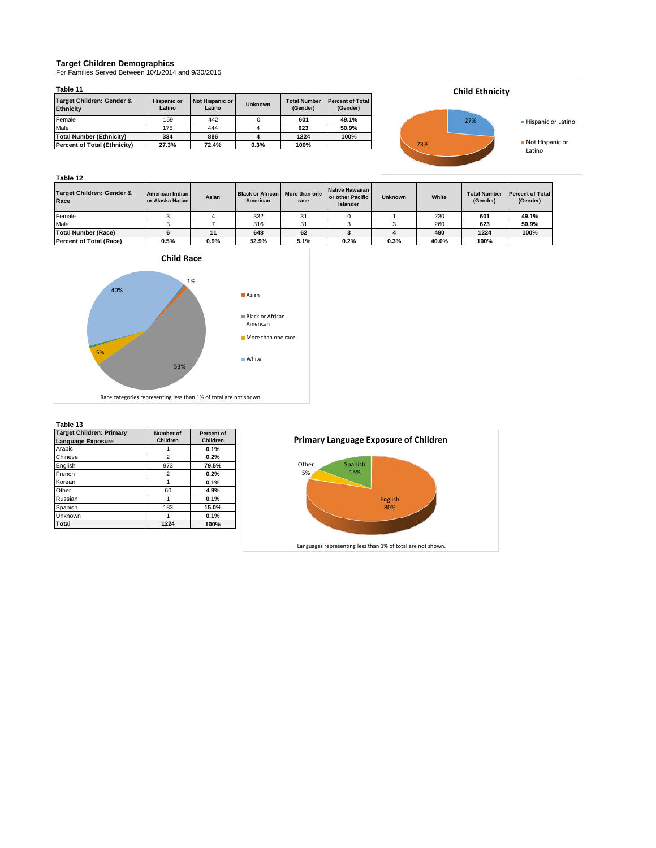### **Target Children Demographics**

For Families Served Between 10/1/2014 and 9/30/2015

### **Table 11**

| Target Children: Gender &<br><b>Ethnicity</b> | <b>Hispanic or</b><br>Latino | Not Hispanic or<br>Latino | Unknown | <b>Total Number</b><br>(Gender) | <b>Percent of Total</b><br>(Gender) |
|-----------------------------------------------|------------------------------|---------------------------|---------|---------------------------------|-------------------------------------|
| Female                                        | 159                          | 442                       |         | 601                             | 49.1%                               |
| Male                                          | 175                          | 444                       |         | 623                             | 50.9%                               |
| Total Number (Ethnicity)                      | 334                          | 886                       |         | 1224                            | 100%                                |
| Percent of Total (Ethnicity)                  | 27.3%                        | 72.4%                     | 0.3%    | 100%                            |                                     |



### **Table 12**

| Target Children: Gender &<br>Race | American Indian<br>or Alaska Native | Asian | <b>Black or African</b><br>American | More than one<br>race | Native Hawaiian<br>or other Pacific<br><b>Islander</b> | <b>Unknown</b> | White | <b>Total Number</b><br>(Gender) | <b>Percent of Total</b><br>(Gender) |
|-----------------------------------|-------------------------------------|-------|-------------------------------------|-----------------------|--------------------------------------------------------|----------------|-------|---------------------------------|-------------------------------------|
| Female                            |                                     |       | 332                                 | 31                    |                                                        |                | 230   | 601                             | 49.1%                               |
| Male                              |                                     |       | 316                                 | 31                    |                                                        |                | 260   | 623                             | 50.9%                               |
| Total Number (Race)               |                                     |       | 648                                 | 62                    |                                                        |                | 490   | 1224                            | 100%                                |
| <b>Percent of Total (Race)</b>    | 0.5%                                | 0.9%  | 52.9%                               | 5.1%                  | 0.2%                                                   | 0.3%           | 40.0% | 100%                            |                                     |



#### **Table 13**

| 1 AUIC 13                       |                |            |
|---------------------------------|----------------|------------|
| <b>Target Children: Primary</b> | Number of      | Percent of |
| Language Exposure               | Children       | Children   |
| Arabic                          |                | 0.1%       |
| Chinese                         | $\overline{2}$ | 0.2%       |
| English                         | 973            | 79.5%      |
| French                          | $\overline{2}$ | 0.2%       |
| Korean                          | 1              | 0.1%       |
| Other                           | 60             | 4.9%       |
| Russian                         |                | 0.1%       |
| Spanish                         | 183            | 15.0%      |
| Unknown                         |                | 0.1%       |
| Total                           | 1224           | 100%       |